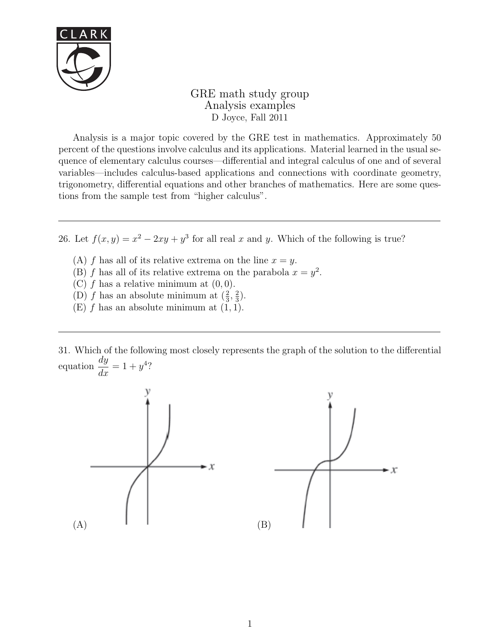

GRE math study group Analysis examples D Joyce, Fall 2011

Analysis is a major topic covered by the GRE test in mathematics. Approximately 50 percent of the questions involve calculus and its applications. Material learned in the usual sequence of elementary calculus courses—differential and integral calculus of one and of several variables—includes calculus-based applications and connections with coordinate geometry, trigonometry, differential equations and other branches of mathematics. Here are some questions from the sample test from "higher calculus".

26. Let  $f(x, y) = x^2 - 2xy + y^3$  for all real x and y. Which of the following is true?

- (A) f has all of its relative extrema on the line  $x = y$ .
- (B) f has all of its relative extrema on the parabola  $x = y^2$ .
- (C)  $f$  has a relative minimum at  $(0, 0)$ .
- (D) *f* has an absolute minimum at  $(\frac{2}{3}, \frac{2}{3})$  $\frac{2}{3}$ .
- $(E)$  f has an absolute minimum at  $(1, 1)$ .

31. Which of the following most closely represents the graph of the solution to the differential equation dy  $\frac{dy}{dx} = 1 + y^4?$ 

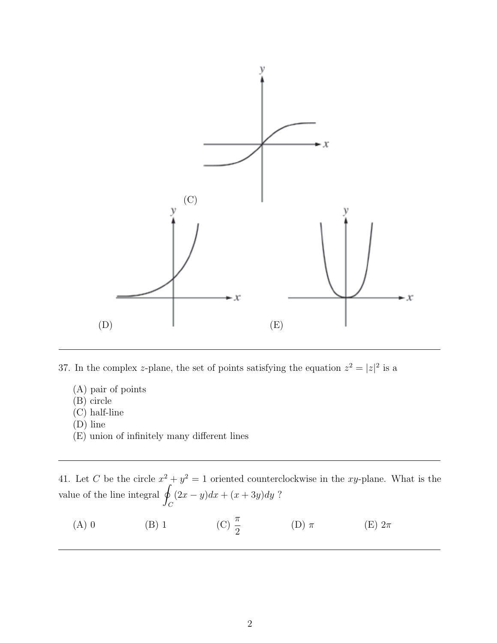

37. In the complex z-plane, the set of points satisfying the equation  $z^2 = |z|^2$  is a

- (A) pair of points
- (B) circle
- (C) half-line
- (D) line
- (E) union of infinitely many different lines

41. Let C be the circle  $x^2 + y^2 = 1$  oriented counterclockwise in the xy-plane. What is the value of the line integral  $\beta$  $\mathcal{C}_{0}^{(n)}$  $(2x - y)dx + (x + 3y)dy$ ?

(A) 0 (B) 1 (C)  $\frac{\pi}{2}$ 2 (D)  $\pi$  (E)  $2\pi$